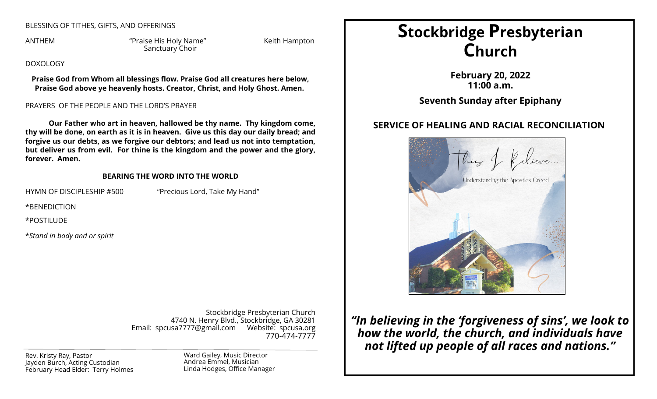## BLESSING OF TITHES, GIFTS, AND OFFERINGS

ANTHEM "Praise His Holy Name" Keith Hampton Sanctuary Choir

DOXOLOGY

**Praise God from Whom all blessings flow. Praise God all creatures here below, Praise God above ye heavenly hosts. Creator, Christ, and Holy Ghost. Amen.**

## PRAYERS OF THE PEOPLE AND THE LORD'S PRAYER

**Our Father who art in heaven, hallowed be thy name. Thy kingdom come, thy will be done, on earth as it is in heaven. Give us this day our daily bread; and forgive us our debts, as we forgive our debtors; and lead us not into temptation, but deliver us from evil. For thine is the kingdom and the power and the glory, forever. Amen.**

### **BEARING THE WORD INTO THE WORLD**

HYMN OF DISCIPLESHIP #500 "Precious Lord, Take My Hand"

\*BENEDICTION

\*POSTILUDE

\**Stand in body and or spirit*

Stockbridge Presbyterian Church 4740 N. Henry Blvd., Stockbridge, GA 30281 Email: spcusa7777@gmail.com Website: spcusa.org 770-474-7777

Rev. Kristy Ray, Pastor Jayden Burch, Acting Custodian February Head Elder: Terry Holmes Ward Gailey, Music Director Andrea Emmel, Musician Linda Hodges, Office Manager

# **Stockbridge Presbyterian Church**

**February 20, 2022 11:00 a.m.**

**Seventh Sunday after Epiphany**

## **SERVICE OF HEALING AND RACIAL RECONCILIATION**



*"In believing in the 'forgiveness of sins', we look to how the world, the church, and individuals have not lifted up people of all races and nations."*